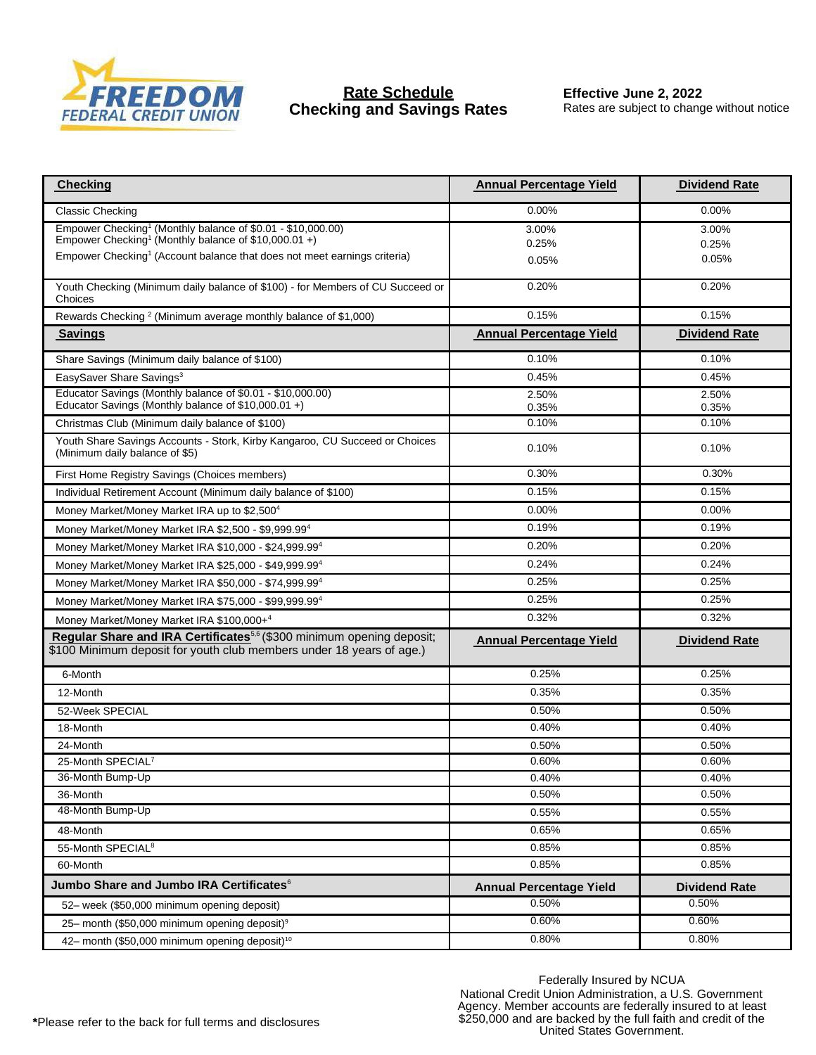

## **Rate Schedule Checking and Savings Rates**

**Effective June 2, 2022** Rates are subject to change without notice

| <b>Checking</b>                                                                                                                                           | <b>Annual Percentage Yield</b> | <b>Dividend Rate</b> |
|-----------------------------------------------------------------------------------------------------------------------------------------------------------|--------------------------------|----------------------|
| <b>Classic Checking</b>                                                                                                                                   | $0.00\%$                       | $0.00\%$             |
| Empower Checking <sup>1</sup> (Monthly balance of \$0.01 - \$10,000.00)<br>Empower Checking <sup>1</sup> (Monthly balance of \$10,000.01+)                | 3.00%                          | 3.00%                |
| Empower Checking <sup>1</sup> (Account balance that does not meet earnings criteria)                                                                      | 0.25%                          | 0.25%                |
|                                                                                                                                                           | 0.05%                          | 0.05%                |
| Youth Checking (Minimum daily balance of \$100) - for Members of CU Succeed or<br>Choices                                                                 | 0.20%                          | 0.20%                |
| Rewards Checking <sup>2</sup> (Minimum average monthly balance of \$1,000)                                                                                | 0.15%                          | 0.15%                |
| <b>Savings</b>                                                                                                                                            | <b>Annual Percentage Yield</b> | <b>Dividend Rate</b> |
| Share Savings (Minimum daily balance of \$100)                                                                                                            | 0.10%                          | 0.10%                |
| EasySaver Share Savings <sup>3</sup>                                                                                                                      | 0.45%                          | 0.45%                |
| Educator Savings (Monthly balance of \$0.01 - \$10,000.00)<br>Educator Savings (Monthly balance of \$10,000.01 +)                                         | 2.50%<br>0.35%                 | 2.50%<br>0.35%       |
| Christmas Club (Minimum daily balance of \$100)                                                                                                           | 0.10%                          | 0.10%                |
| Youth Share Savings Accounts - Stork, Kirby Kangaroo, CU Succeed or Choices<br>(Minimum daily balance of \$5)                                             | 0.10%                          | 0.10%                |
| First Home Registry Savings (Choices members)                                                                                                             | 0.30%                          | 0.30%                |
| Individual Retirement Account (Minimum daily balance of \$100)                                                                                            | 0.15%                          | 0.15%                |
| Money Market/Money Market IRA up to \$2,500 <sup>4</sup>                                                                                                  | 0.00%                          | 0.00%                |
| Money Market/Money Market IRA \$2,500 - \$9,999.994                                                                                                       | 0.19%                          | 0.19%                |
| Money Market/Money Market IRA \$10,000 - \$24,999.994                                                                                                     | 0.20%                          | 0.20%                |
| Money Market/Money Market IRA \$25,000 - \$49,999.994                                                                                                     | 0.24%                          | 0.24%                |
| Money Market/Money Market IRA \$50,000 - \$74,999.994                                                                                                     | 0.25%                          | 0.25%                |
| Money Market/Money Market IRA \$75,000 - \$99,999.994                                                                                                     | 0.25%                          | 0.25%                |
| Money Market/Money Market IRA \$100,000+4                                                                                                                 | 0.32%                          | 0.32%                |
| Regular Share and IRA Certificates <sup>5,6</sup> (\$300 minimum opening deposit;<br>\$100 Minimum deposit for youth club members under 18 years of age.) | <b>Annual Percentage Yield</b> | <b>Dividend Rate</b> |
| 6-Month                                                                                                                                                   | 0.25%                          | 0.25%                |
| 12-Month                                                                                                                                                  | 0.35%                          | 0.35%                |
| 52-Week SPECIAL                                                                                                                                           | 0.50%                          | 0.50%                |
| 18-Month                                                                                                                                                  | 0.40%                          | 0.40%                |
| 24-Month                                                                                                                                                  | 0.50%                          | 0.50%                |
| 25-Month SPECIAL <sup>7</sup>                                                                                                                             | 0.60%                          | 0.60%                |
| 36-Month Bump-Up                                                                                                                                          | 0.40%                          | 0.40%                |
| 36-Month                                                                                                                                                  | 0.50%                          | 0.50%                |
| 48-Month Bump-Up                                                                                                                                          | 0.55%                          | 0.55%                |
| 48-Month                                                                                                                                                  | 0.65%                          | 0.65%                |
| 55-Month SPECIAL <sup>8</sup>                                                                                                                             | 0.85%                          | 0.85%                |
| 60-Month                                                                                                                                                  | 0.85%                          | 0.85%                |
| Jumbo Share and Jumbo IRA Certificates <sup>6</sup>                                                                                                       | <b>Annual Percentage Yield</b> | <b>Dividend Rate</b> |
| 52- week (\$50,000 minimum opening deposit)                                                                                                               | 0.50%                          | 0.50%                |
| 25- month (\$50,000 minimum opening deposit) <sup>9</sup>                                                                                                 | 0.60%                          | 0.60%                |
| 42- month (\$50,000 minimum opening deposit) <sup>10</sup>                                                                                                | 0.80%                          | 0.80%                |